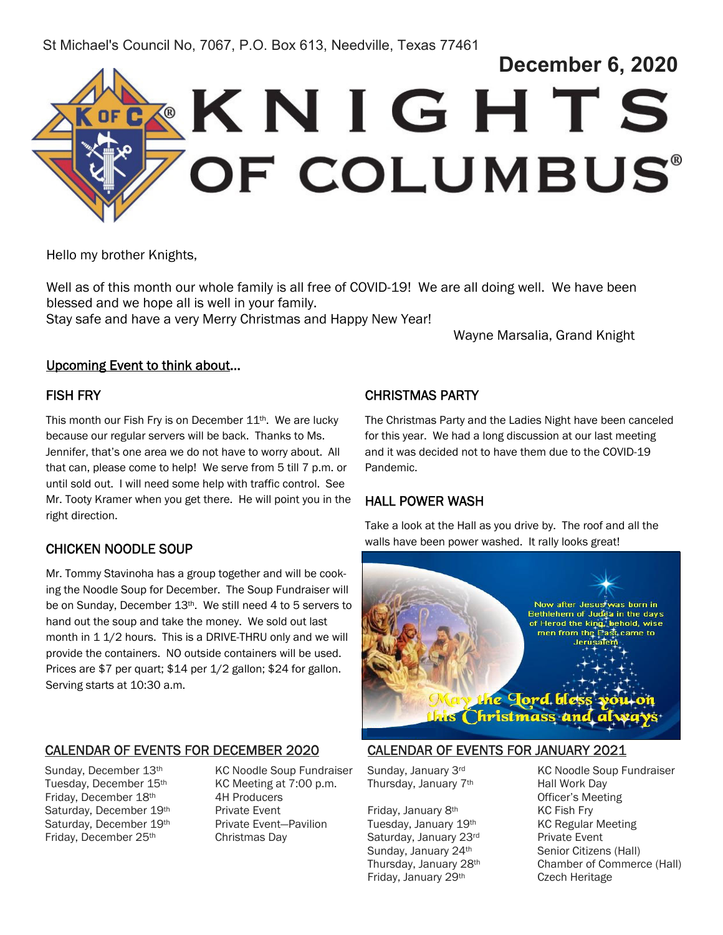St Michael's Council No, 7067, P.O. Box 613, Needville, Texas 77461



Hello my brother Knights,

Well as of this month our whole family is all free of COVID-19! We are all doing well. We have been blessed and we hope all is well in your family.

Stay safe and have a very Merry Christmas and Happy New Year!

Wayne Marsalia, Grand Knight

#### Upcoming Event to think about…

### FISH FRY

This month our Fish Fry is on December  $11<sup>th</sup>$ . We are lucky because our regular servers will be back. Thanks to Ms. Jennifer, that's one area we do not have to worry about. All that can, please come to help! We serve from 5 till 7 p.m. or until sold out. I will need some help with traffic control. See Mr. Tooty Kramer when you get there. He will point you in the right direction.

## CHICKEN NOODLE SOUP

Mr. Tommy Stavinoha has a group together and will be cooking the Noodle Soup for December. The Soup Fundraiser will be on Sunday, December 13<sup>th</sup>. We still need 4 to 5 servers to hand out the soup and take the money. We sold out last month in 1 1/2 hours. This is a DRIVE-THRU only and we will provide the containers. NO outside containers will be used. Prices are \$7 per quart; \$14 per 1/2 gallon; \$24 for gallon. Serving starts at 10:30 a.m.

### CALENDAR OF EVENTS FOR DECEMBER 2020

Tuesday, December 15th KC Meeting at 7:00 p.m. Friday, December 18th 4H Producers Saturday, December 19<sup>th</sup> Private Event Saturday, December 19<sup>th</sup> Private Event-Pavilion Friday, December 25th Christmas Day

Sunday, December 13<sup>th</sup> KC Noodle Soup Fundraiser

## CHRISTMAS PARTY

The Christmas Party and the Ladies Night have been canceled for this year. We had a long discussion at our last meeting and it was decided not to have them due to the COVID-19 Pandemic.

### HALL POWER WASH

Take a look at the Hall as you drive by. The roof and all the walls have been power washed. It rally looks great!



## CALENDAR OF EVENTS FOR JANUARY 2021

Thursday, January 7<sup>th</sup> Hall Work Day

Friday, January 8<sup>th</sup> KC Fish Fry Tuesday, January 19<sup>th</sup> KC Regular Meeting Saturday, January 23rd Private Event Sunday, January 24<sup>th</sup> Senior Citizens (Hall) Friday, January 29<sup>th</sup> Czech Heritage

Sunday, January 3rd KC Noodle Soup Fundraiser Officer's Meeting Thursday, January 28th Chamber of Commerce (Hall)